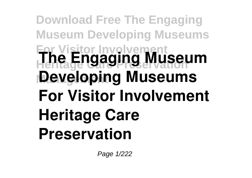## **Download Free The Engaging Museum Developing Museums For Visitor Involvement Heritage Care Preservation The Engaging Museum Developing Museums For Visitor Involvement Heritage Care Preservation**

Page 1/222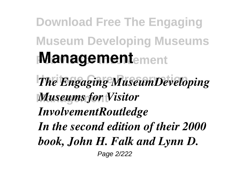## **Download Free The Engaging Museum Developing Museums Management**ement

*The Engaging MuseumDeveloping* **Museums for Visitor** 

## *InvolvementRoutledge*

*In the second edition of their 2000*

*book, John H. Falk and Lynn D.*

Page 2/222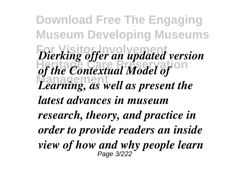**Download Free The Engaging Museum Developing Museums For Visitor Involvement** *Dierking offer an updated version Litting* by the *Contextual Model of* **Management** *Learning, as well as present the latest advances in museum research, theory, and practice in order to provide readers an inside view of how and why people learn* Page 3/222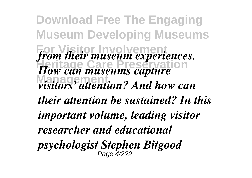**Download Free The Engaging Museum Developing Museums** from their museum experiences. *How can museums capture* **Management** *visitors' attention? And how can their attention be sustained? In this important volume, leading visitor researcher and educational psychologist Stephen Bitgood* Page 4/222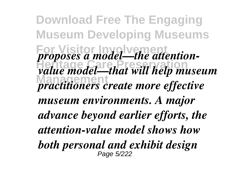**Download Free The Engaging Museum Developing Museums For** *proposes a model—the attention-***Heritage Care Preservation** *value model—that will help museum Managements Management practitioners create more effective museum environments. A major advance beyond earlier efforts, the attention-value model shows how both personal and exhibit design* Page 5/222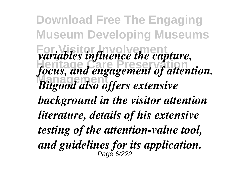**Download Free The Engaging Museum Developing Museums** *variables influence the capture,* **Heritage Care Preservation** *focus, and engagement of attention.* **Management** *Bitgood also offers extensive background in the visitor attention literature, details of his extensive testing of the attention-value tool, and guidelines for its application.* Page 6/222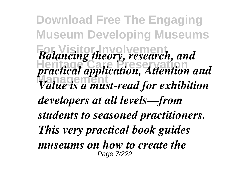**Download Free The Engaging Museum Developing Museums For Visitor Involvement** *Balancing theory, research, and* **Heritage Care Preservation** *practical application, Attention and* **Management** *Value is a must-read for exhibition developers at all levels—from students to seasoned practitioners. This very practical book guides museums on how to create the* Page 7/222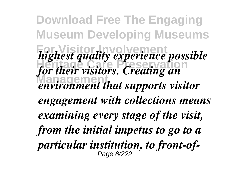**Download Free The Engaging Museum Developing Museums** *highest quality experience possible Heritage Care Presservation for their visitors. Creating an* **Management** *environment that supports visitor engagement with collections means examining every stage of the visit, from the initial impetus to go to a particular institution, to front-of-*Page 8/222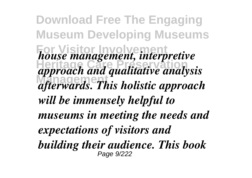**Download Free The Engaging Museum Developing Museums For Visitor Involvement** *house management, interpretive* **Heritage Care Preservation** *approach and qualitative analysis* **Management** *afterwards. This holistic approach will be immensely helpful to museums in meeting the needs and expectations of visitors and building their audience. This book* Page 9/222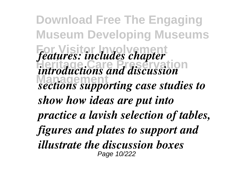**Download Free The Engaging Museum Developing Museums For Visitor Involvement** *features: includes chapter* **Heritage Care Preservation** *introductions and discussion* **Management** *sections supporting case studies to show how ideas are put into practice a lavish selection of tables, figures and plates to support and illustrate the discussion boxes* Page 10/222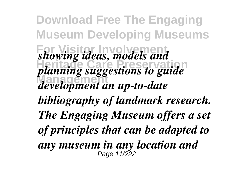**Download Free The Engaging Museum Developing Museums For Visitor Involvement** *showing ideas, models and Herming care between the planning suggestions to guide* **Management** *development an up-to-date bibliography of landmark research. The Engaging Museum offers a set of principles that can be adapted to any museum in any location and* Page 11/222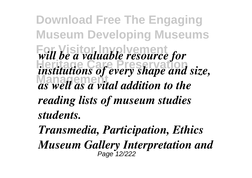**Download Free The Engaging Museum Developing Museums For Visitor Involvement** *will be a valuable resource for Here is a linear Presence for the institutions of every shape and size,* **Management** *as well as a vital addition to the reading lists of museum studies students.*

*Transmedia, Participation, Ethics Museum Gallery Interpretation and* Page 12/222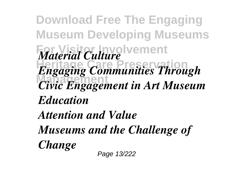**Download Free The Engaging Museum Developing Museums** *Material Culture* vement **Heritage Care Preservation** *Engaging Communities Through* **Management** *Civic Engagement in Art Museum Education Attention and Value Museums and the Challenge of Change* Page 13/222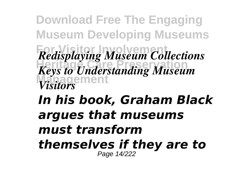**Download Free The Engaging Museum Developing Museums For Visitor Involvement** *Redisplaying Museum Collections* **Heritage Care Preservation** *Keys to Understanding Museum* **Management** *Visitors*

## *In his book, Graham Black argues that museums must transform themselves if they are to* Page 14/222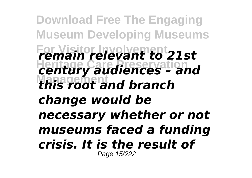**Download Free The Engaging Museum Developing Museums For Visitor Involvement** *remain relevant to 21st* **Heritage Care Preservation** *century audiences – and* **Management** *this root and branch change would be necessary whether or not museums faced a funding crisis. It is the result of* Page 15/222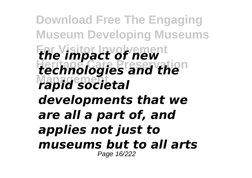**Download Free The Engaging Museum Developing Museums For Visitor Involvement** *the impact of new* **Heritage Care Preservation** *technologies and the* **Management** *rapid societal developments that we are all a part of, and applies not just to museums but to all arts* Page 16/222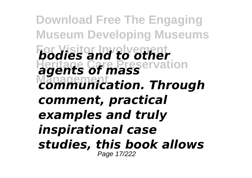**Download Free The Engaging Museum Developing Museums For Visitor Involvement** *bodies and to other* **Heritage Care Preservation** *agents of mass* **Management** *communication. Through comment, practical examples and truly inspirational case studies, this book allows* Page 17/222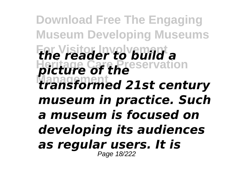**Download Free The Engaging Museum Developing Museums For Visitor Involvement** *the reader to build a* **Heritage Care Preservation** *picture of the* **Management** *transformed 21st century museum in practice. Such a museum is focused on developing its audiences as regular users. It is* Page 18/222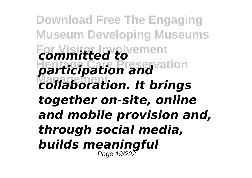**Download Free The Engaging Museum Developing Museums For Visitor Involvement** *committed to* **Heritage Care Preservation** *participation and* **Management** *collaboration. It brings together on-site, online and mobile provision and, through social media, builds meaningful* Page 19/222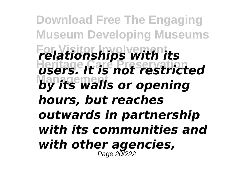**Download Free The Engaging Museum Developing Museums For Visitor Involvement** *relationships with its* **Heritage Care Preservation** *users. It is not restricted by its walls or opening hours, but reaches outwards in partnership with its communities and with other agencies,* Page 20/222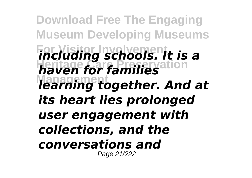**Download Free The Engaging Museum Developing Museums For Visitor Involvement** *including schools. It is a* **Heritage Care Preservation** *haven for families* **Management** *learning together. And at its heart lies prolonged user engagement with collections, and the conversations and* Page 21/222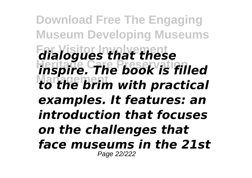**Download Free The Engaging Museum Developing Museums For Visitor Involvement** *dialogues that these* **Heritage Care Preservation** *inspire. The book is filled* **Management** *to the brim with practical examples. It features: an introduction that focuses on the challenges that face museums in the 21st* Page 22/222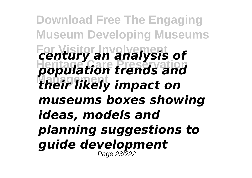**Download Free The Engaging Museum Developing Museums For Visitor Involvement** *century an analysis of* **Heritage Care Preservation** *population trends and* **Management** *their likely impact on museums boxes showing ideas, models and planning suggestions to guide development* Page 23/222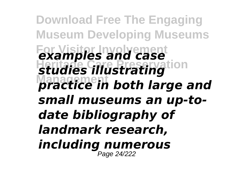**Download Free The Engaging Museum Developing Museums For Visitor Involvement** *examples and case Studies illustrating* **Management** *practice in both large and small museums an up-todate bibliography of landmark research, including numerous* Page 24/222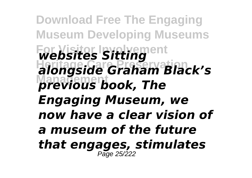**Download Free The Engaging Museum Developing Museums For Visitor Involvement** *websites Sitting* **Heritage Care Preservation** *alongside Graham Black's* **Management** *previous book, The Engaging Museum, we now have a clear vision of a museum of the future that engages, stimulates* Page 25/222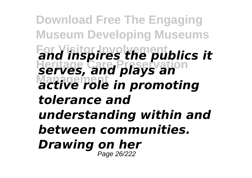**Download Free The Engaging Museum Developing Museums For Visitor Involvement** *and inspires the publics it* **Heritage Care Preservation** *serves, and plays an* **Management** *active role in promoting tolerance and understanding within and between communities. Drawing on her* Page 26/222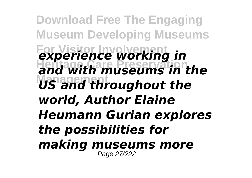**Download Free The Engaging Museum Developing Museums For Visitor Involvement** *experience working in* **Heritage Care Preservation** *and with museums in the* **Management** *US and throughout the world, Author Elaine Heumann Gurian explores the possibilities for making museums more* Page 27/222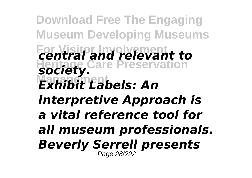**Download Free The Engaging Museum Developing Museums For Visitor Involvement** *central and relevant to* **Heritage Care Preservation** *society.* **Management** *Exhibit Labels: An Interpretive Approach is a vital reference tool for all museum professionals. Beverly Serrell presents* Page 28/222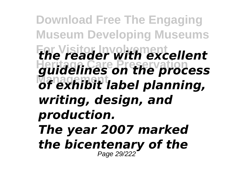**Download Free The Engaging Museum Developing Museums For Visitor Involvement** *the reader with excellent* **Heritage Care Preservation** *guidelines on the process* **Management** *of exhibit label planning, writing, design, and production. The year 2007 marked the bicentenary of the* Page 29/222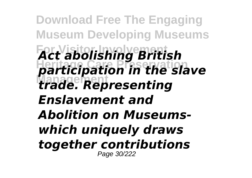**Download Free The Engaging Museum Developing Museums For Visitor Involvement** *Act abolishing British* **Heritage Care Preservation** *participation in the slave* **Management** *trade. Representing Enslavement and Abolition on Museumswhich uniquely draws together contributions* Page 30/222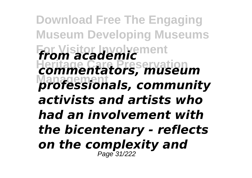**Download Free The Engaging Museum Developing Museums For Visitor Involvement** *from academic* **Heritage Care Preservation** *commentators, museum* **Management** *professionals, community activists and artists who had an involvement with the bicentenary - reflects on the complexity and* Page 31/222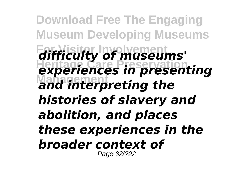**Download Free The Engaging Museum Developing Museums For Visitor Involvement** *difficulty of museums'* **Heritage Care Preservation** *experiences in presenting* **Management** *and interpreting the histories of slavery and abolition, and places these experiences in the broader context of* Page 32/222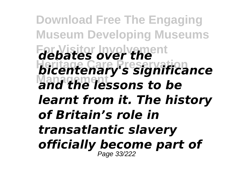**Download Free The Engaging Museum Developing Museums For Visitor Involvement** *debates over the* **Heritage Care Preservation** *bicentenary's significance* **Management** *and the lessons to be learnt from it. The history of Britain's role in transatlantic slavery officially become part of* Page 33/222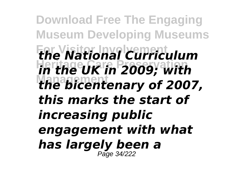**Download Free The Engaging Museum Developing Museums For Visitor Involvement** *the National Curriculum* **Heritage Care Preservation** *in the UK in 2009; with* **Management** *the bicentenary of 2007, this marks the start of increasing public engagement with what has largely been a* Page 34/222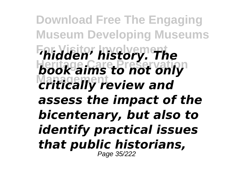**Download Free The Engaging Museum Developing Museums For Visitor Involvement** *'hidden' history. The* **Heritage Care Preservation** *book aims to not only* **Management** *critically review and assess the impact of the bicentenary, but also to identify practical issues that public historians,* Page 35/222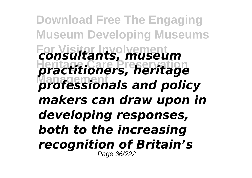**Download Free The Engaging Museum Developing Museums For Visitor Involvement** *consultants, museum* **Heritage Care Preservation** *practitioners, heritage* **Management** *professionals and policy makers can draw upon in developing responses, both to the increasing recognition of Britain's* Page 36/222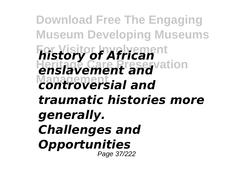**Download Free The Engaging Museum Developing Museums For Visitor Involvement Heritage Care Preservation Management** *controversial and history of African enslavement and traumatic histories more generally. Challenges and Opportunities* Page 37/222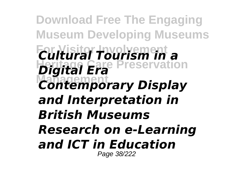**Download Free The Engaging Museum Developing Museums For Visitor Involvement** *Cultural Tourism in a* **Heritage Care Preservation** *Digital Era Contemporary Display and Interpretation in British Museums Research on e-Learning and ICT in Education* Page 38/222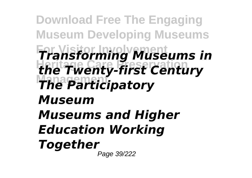**Download Free The Engaging Museum Developing Museums For Visitor Involvement** *Transforming Museums in* **Heritage Care Preservation** *the Twenty-first Century* **Management** *The Participatory Museum Museums and Higher Education Working Together* Page 39/222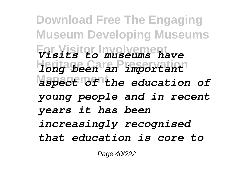**Download Free The Engaging Museum Developing Museums For Visitor Involvement** *Visits to museums have* **Heritage Care Preservation** *long been an important* **Management** *aspect of the education of young people and in recent years it has been increasingly recognised that education is core to*

Page 40/222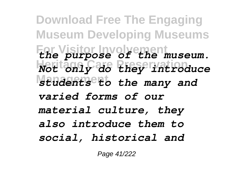**Download Free The Engaging Museum Developing Museums For Visitor Involvement** *the purpose of the museum.* **Heritage Care Preservation** *Not only do they introduce* **Mendents to the many and** *varied forms of our material culture, they also introduce them to social, historical and*

Page 41/222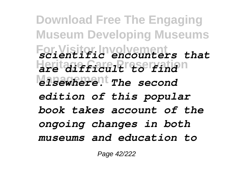**Download Free The Engaging Museum Developing Museums For Visitor Involvement** *scientific encounters that* **Heritage Care Preservation** *are difficult to find Misewherent* The second *edition of this popular book takes account of the ongoing changes in both museums and education to*

Page 42/222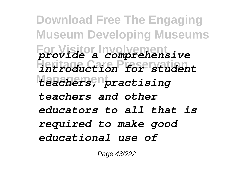**Download Free The Engaging Museum Developing Museums For Visitor Involvement** *provide a comprehensive* **Heritage Care Preservation** *introduction for student* **Management** *teachers, practising teachers and other educators to all that is required to make good educational use of*

Page 43/222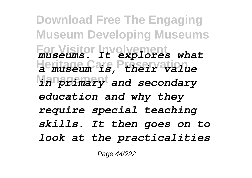**Download Free The Engaging Museum Developing Museums For Visitor Involvement** *museums. It explores what* **Heritage Care Preservation** *a museum is, their value* **Management** *in primary and secondary education and why they require special teaching skills. It then goes on to look at the practicalities*

Page 44/222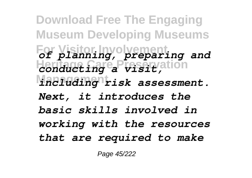**Download Free The Engaging Museum Developing Museums For Visitor Involvement** *of planning, preparing and* **Heritage Care Preservation** *conducting a visit, Maaluaing risk assessment. Next, it introduces the basic skills involved in working with the resources that are required to make*

Page 45/222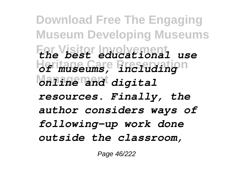**Download Free The Engaging Museum Developing Museums For Visitor Involvement** *the best educational use* **Heritage Care Preservation** *of museums, including* **Management** *online and digital resources. Finally, the author considers ways of following-up work done outside the classroom,*

Page 46/222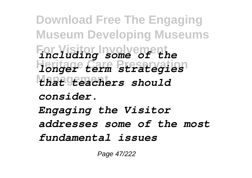**Download Free The Engaging Museum Developing Museums For Visitor Involvement** *including some of the* **Heritage Care Preservation** *longer term strategies* **Management** *that teachers should consider. Engaging the Visitor addresses some of the most fundamental issues*

Page 47/222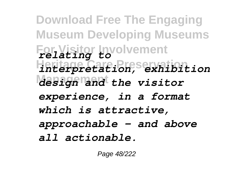**Download Free The Engaging Museum Developing Museums For Visitor Involvement** *relating to* **Heritage Care Preservation** *interpretation, exhibition Masign and the visitor experience, in a format which is attractive, approachable - and above all actionable.*

Page 48/222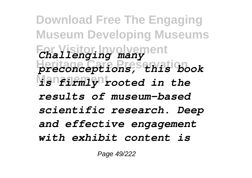**Download Free The Engaging Museum Developing Museums For Visitor Involvement** *Challenging many* **Heritage Care Preservation** *preconceptions, this book* **Management** *is firmly rooted in the results of museum-based scientific research. Deep and effective engagement with exhibit content is*

Page 49/222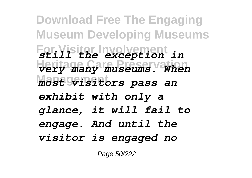**Download Free The Engaging Museum Developing Museums For Visitor Involvement** *still the exception in* **Heritage Care Preservation** *very many museums. When* **Management** *most visitors pass an exhibit with only a glance, it will fail to engage. And until the visitor is engaged no*

Page 50/222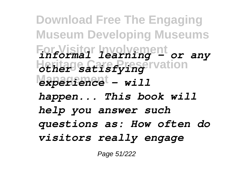**Download Free The Engaging Museum Developing Museums For Visitor Involvement** *informal learning - or any* **Heritage Care Preservation** *other satisfying* **Management** *experience - will happen... This book will help you answer such questions as: How often do visitors really engage*

Page 51/222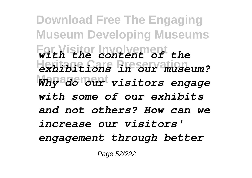**Download Free The Engaging Museum Developing Museums For Visitor Involvement** *with the content of the* **Heritage Care Preservation** *exhibitions in our museum?* **Management** *Why do our visitors engage with some of our exhibits and not others? How can we increase our visitors' engagement through better*

Page 52/222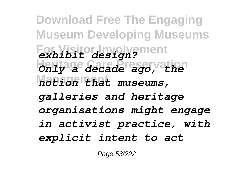**Download Free The Engaging Museum Developing Museums For Visitor Involvement** *exhibit design?* **Heritage Care Preservation** *Only a decade ago, the* **Management** *notion that museums, galleries and heritage organisations might engage in activist practice, with explicit intent to act*

Page 53/222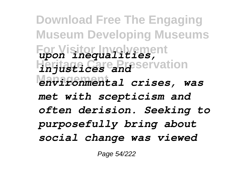**Download Free The Engaging Museum Developing Museums For Visitor Involvement** *upon inequalities,* **Heritage Care Preservation** *injustices and* **Management** *environmental crises, was met with scepticism and often derision. Seeking to purposefully bring about social change was viewed*

Page 54/222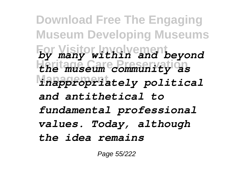**Download Free The Engaging Museum Developing Museums For Visitor Involvement** *by many within and beyond* **Heritage Care Preservation** *the museum community as* **Management** *inappropriately political and antithetical to fundamental professional values. Today, although the idea remains*

Page 55/222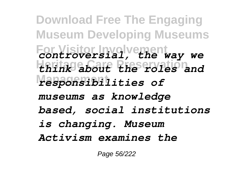**Download Free The Engaging Museum Developing Museums For Visitor Involvement** *controversial, the way we* **Heritage Care Preservation** *think about the roles and* **Management** *responsibilities of museums as knowledge based, social institutions is changing. Museum Activism examines the*

Page 56/222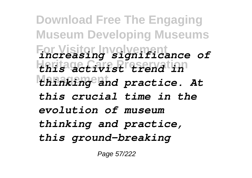**Download Free The Engaging Museum Developing Museums For Visitor Involvement** *increasing significance of* **Heritage Care Preservation** *this activist trend in* **Management** *thinking and practice. At this crucial time in the evolution of museum thinking and practice, this ground-breaking*

Page 57/222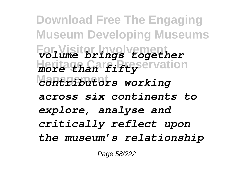**Download Free The Engaging Museum Developing Museums For Visitor Involvement** *volume brings together* **Heritagh Care Preservation Management** *contributors working across six continents to explore, analyse and critically reflect upon the museum's relationship*

Page 58/222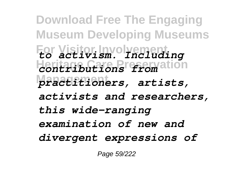**Download Free The Engaging Museum Developing Museums For Visitor Involvement** *to activism. Including* **Heritage Care Preservation** *contributions from* **Management** *practitioners, artists, activists and researchers, this wide-ranging examination of new and divergent expressions of*

Page 59/222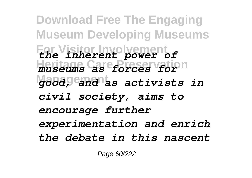**Download Free The Engaging Museum Developing Museums For Visitor Involvement** *the inherent power of* **Heritage Care Preservation** *museums as forces for* **Management** *good, and as activists in civil society, aims to encourage further experimentation and enrich the debate in this nascent*

Page 60/222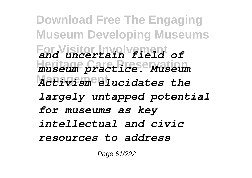**Download Free The Engaging Museum Developing Museums For Visitor Involvement** *and uncertain field of* **Heritage Care Preservation** *museum practice. Museum Activism elucidates the largely untapped potential for museums as key intellectual and civic resources to address*

Page 61/222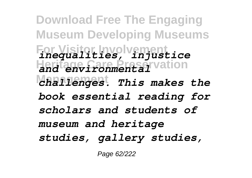**Download Free The Engaging Museum Developing Museums For Visitor Involvement** *inequalities, injustice* **Heritage Care Preservation** *and environmental* **Management** *challenges. This makes the book essential reading for scholars and students of museum and heritage studies, gallery studies,*

Page 62/222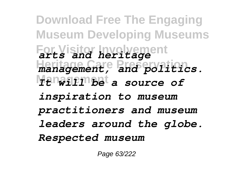**Download Free The Engaging Museum Developing Museums For Visitor Involvement** *arts and heritage* **Heritage Care Preservation** *management, and politics.* **Management** *It will be a source of inspiration to museum practitioners and museum leaders around the globe. Respected museum*

Page 63/222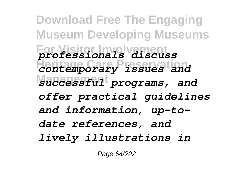**Download Free The Engaging Museum Developing Museums For Visitor Involvement** *professionals discuss* **Heritage Care Preservation** *contemporary issues and Macessful<sup>t</sup> programs, and offer practical guidelines and information, up-todate references, and lively illustrations in*

Page 64/222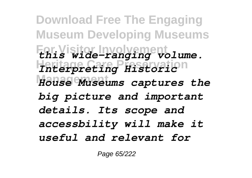**Download Free The Engaging Museum Developing Museums For Visitor Involvement** *this wide-ranging volume.* **Heritage Care Preservation** *Interpreting Historic* **Management** *House Museums captures the big picture and important details. Its scope and accessbility will make it useful and relevant for*

Page 65/222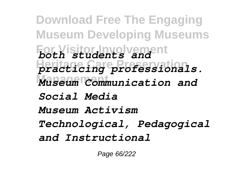**Download Free The Engaging Museum Developing Museums For Visitor Involvement** *both students and* **Heritage Care Preservation** *practicing professionals. Museum Communication and Social Media Museum Activism Technological, Pedagogical and Instructional*

Page 66/222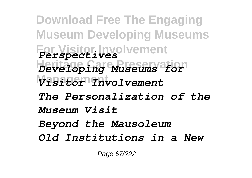**Download Free The Engaging Museum Developing Museums For Visitor Involvement** *Perspectives* **Heritage Care Preservation** *Developing Museums for* **Management** *Visitor Involvement The Personalization of the Museum Visit Beyond the Mausoleum Old Institutions in a New*

Page 67/222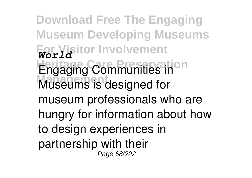**Download Free The Engaging Museum Developing Museums For Visitor Involvement** *World* **Engaging Communities in Museums is designed for** museum professionals who are hungry for information about how to design experiences in partnership with their Page 68/222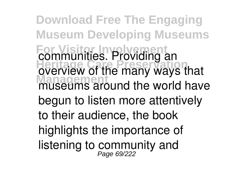**Download Free The Engaging Museum Developing Museums For Visitor Involvement** communities. Providing an overview of the many ways that museums around the world have begun to listen more attentively to their audience, the book highlights the importance of listening to community and Page 69/222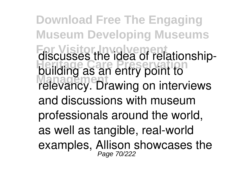**Download Free The Engaging Museum Developing Museums For Visitor Involvement** discusses the idea of relationship-**Heritage Care Preservation** building as an entry point to **Management** relevancy. Drawing on interviews and discussions with museum professionals around the world, as well as tangible, real-world examples, Allison showcases the Page 70/222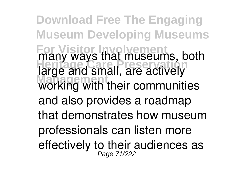**Download Free The Engaging Museum Developing Museums For Visitor Involvement** many ways that museums, both heritage and small, are actively **Management** working with their communities and also provides a roadmap that demonstrates how museum professionals can listen more effectively to their audiences as Page 71/222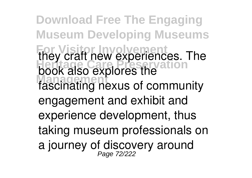**Download Free The Engaging Museum Developing Museums For Visitor Involvement** they craft new experiences. The **Heritage Care Preservation** book also explores the **Management** fascinating nexus of community engagement and exhibit and experience development, thus taking museum professionals on a journey of discovery around Page 72/222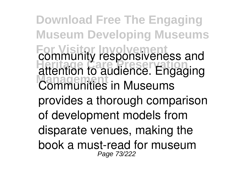**Download Free The Engaging Museum Developing Museums For Visitor Involvement** community responsiveness and **Heritage Care Preservation** attention to audience. Engaging **Communities in Museums** provides a thorough comparison of development models from disparate venues, making the book a must-read for museum Page 73/222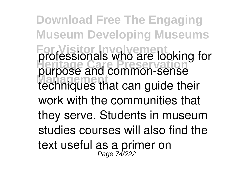**Download Free The Engaging Museum Developing Museums For Visitor Involvement** professionals who are looking for **Heritage Care Preservation** purpose and common-sense **Management** techniques that can guide their work with the communities that they serve. Students in museum studies courses will also find the text useful as a primer on<br>Page 74/222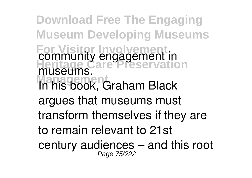**Download Free The Engaging Museum Developing Museums For Visitor Involvement Heritage Care Preservation Management** In his book, Graham Black community engagement in museums. argues that museums must transform themselves if they are to remain relevant to 21st century audiences – and this root Page 75/222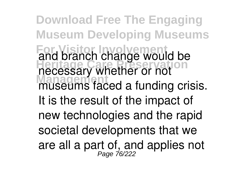**Download Free The Engaging Museum Developing Museums For Visitor Involvement** and branch change would be **Heritage Care Preservation** necessary whether or not museums faced a funding crisis. It is the result of the impact of new technologies and the rapid societal developments that we are all a part of, and applies not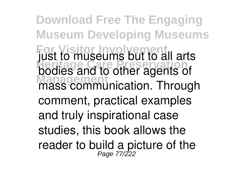**Download Free The Engaging Museum Developing Museums For Visitor Involvement** just to museums but to all arts **Heritage Care Preservation** bodies and to other agents of **Management** control as communication. Through comment, practical examples and truly inspirational case studies, this book allows the reader to build a picture of the Page 77/222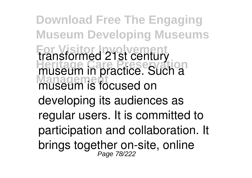**Download Free The Engaging Museum Developing Museums For Visitor Involvement** transformed 21st century museum in practice. Such a **Management** museum is focused on developing its audiences as regular users. It is committed to participation and collaboration. It brings together on-site, online Page 78/222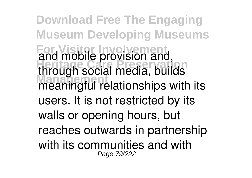**Download Free The Engaging Museum Developing Museums For Visitor Involvement** and mobile provision and, **Heritage Care Preservation** through social media, builds **Management** meaningful relationships with its users. It is not restricted by its walls or opening hours, but reaches outwards in partnership with its communities and with Page 79/222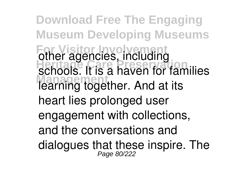**Download Free The Engaging Museum Developing Museums For Visitor Involvement** other agencies, including schools. It is a haven for families **Management** learning together. And at its heart lies prolonged user engagement with collections, and the conversations and dialogues that these inspire. The Page 80/222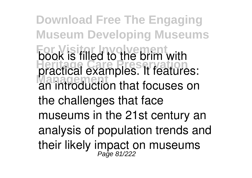**Download Free The Engaging Museum Developing Museums For Visitor Involvement** book is filled to the brim with **Hereife are care preservation Management** an introduction that focuses on the challenges that face museums in the 21st century an analysis of population trends and their likely impact on museums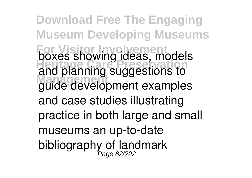**Download Free The Engaging Museum Developing Museums For Visitor Involvement** boxes showing ideas, models and planning suggestions to **Management** guide development examples and case studies illustrating practice in both large and small museums an up-to-date bibliography of landmark<br>Page 82/222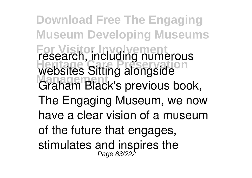**Download Free The Engaging Museum Developing Museums For Visitor Involvement** research, including numerous **Herchtling** Care Preserved Care Preserved Care Preserved Care Preserved Care Preserved Care Preserved Care Preserved Care Preserved Care Preserved Care Preserved Care Preserved Care Preserved Care Preserved Care Preserved **Management** Graham Black's previous book, The Engaging Museum, we now have a clear vision of a museum of the future that engages, stimulates and inspires the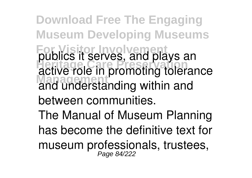**Download Free The Engaging Museum Developing Museums For Visitor Involvement** publics it serves, and plays an **Heritage Care Preservation** active role in promoting tolerance **Management** and understanding within and between communities.

The Manual of Museum Planning has become the definitive text for museum professionals, trustees,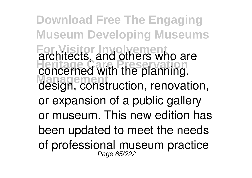**Download Free The Engaging Museum Developing Museums For Visitor Involvement** architects, and others who are **Heritage Care Preservation** concerned with the planning, **Management** design, construction, renovation, or expansion of a public gallery or museum. This new edition has been updated to meet the needs of professional museum practice Page 85/222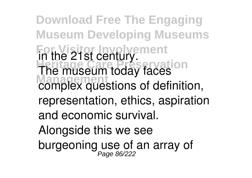**Download Free The Engaging Museum Developing Museums For Visitor Involvement** in the 21st century. **Heritage Care Preservation** The museum today faces **Management** complex questions of definition, representation, ethics, aspiration and economic survival. Alongside this we see burgeoning use of an array of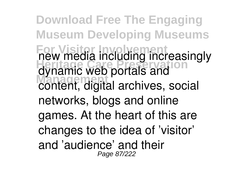**Download Free The Engaging Museum Developing Museums For Visitor Involvement** new media including increasingly **Heritage Care Preservation** dynamic web portals and **Management** content, digital archives, social networks, blogs and online games. At the heart of this are changes to the idea of 'visitor' and 'audience' and their Page 87/222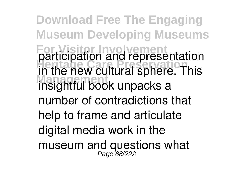**Download Free The Engaging Museum Developing Museums For Visitor Involvement** participation and representation **Heritage Care Preservation** in the new cultural sphere. This **Management** insightful book unpacks a number of contradictions that help to frame and articulate digital media work in the museum and questions what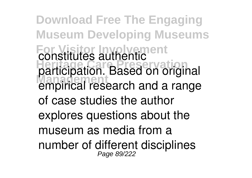**Download Free The Engaging Museum Developing Museums For Visitor Involvement** constitutes authentic **Heritage Care Preservation** participation. Based on original **Management** empirical research and a range of case studies the author explores questions about the museum as media from a number of different disciplines Page 89/222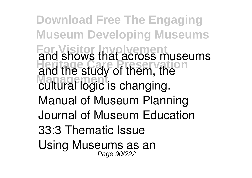**Download Free The Engaging Museum Developing Museums For Visitor Involvement** and shows that across museums and the study of them, the **Management** cultural logic is changing. Manual of Museum Planning Journal of Museum Education 33:3 Thematic Issue Using Museums as an Page 90/222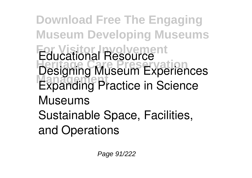**Download Free The Engaging Museum Developing Museums For Visitor Involvement** Educational Resource **Heritage Care Preservation** Designing Museum Experiences **Expanding Practice in Science** Museums Sustainable Space, Facilities, and Operations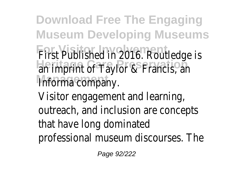**Download Free The Engaging Museum Developing Museums** First Published in 2016. Routledge is an imprint of Taylor & Francis, an Informa company.

Visitor engagement and learning, outreach, and inclusion are concepts that have long dominated professional museum discourses. The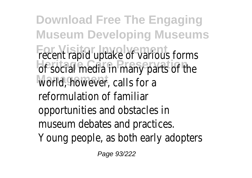**Download Free The Engaging Museum Developing Museums** recent rapid uptake of various forms of social media in many parts of the world, however, calls for a reformulation of familiar opportunities and obstacles in museum debates and practices. Young people, as both early adopters

Page 93/222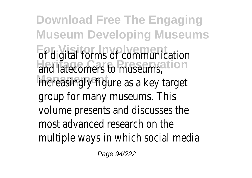**Download Free The Engaging Museum Developing Museums For Visitor Involvement Heritage Care Preservation** increasingly figure as a key target of digital forms of communication and latecomers to museums, group for many museums. This volume presents and discusses the most advanced research on the multiple ways in which social media

Page 94/222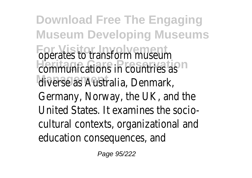**Download Free The Engaging Museum Developing Museums** operates to transform museum communications in countries as **Management** diverse as Australia, Denmark, Germany, Norway, the UK, and the United States. It examines the sociocultural contexts, organizational and education consequences, and

Page 95/222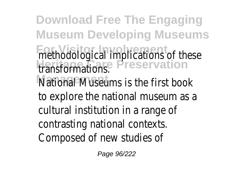**Download Free The Engaging Museum Developing Museums** methodological implications of these **Heritage Care Preservation** transformations. National Museums is the first book to explore the national museum as a cultural institution in a range of contrasting national contexts. Composed of new studies of

Page 96/222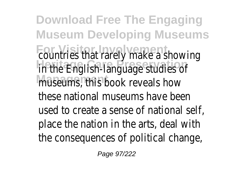**Download Free The Engaging Museum Developing Museums** countries that rarely make a showing in the English-language studies of museums, this book reveals how these national museums have been used to create a sense of national self, place the nation in the arts, deal with the consequences of political change,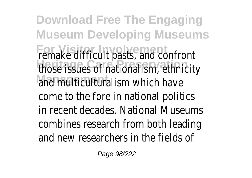**Download Free The Engaging Museum Developing Museums** remake difficult pasts, and confront those issues of nationalism, ethnicity and multiculturalism which have come to the fore in national politics in recent decades. National Museums combines research from both leading and new researchers in the fields of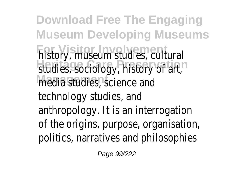**Download Free The Engaging Museum Developing Museums** history, museum studies, cultural studies, sociology, history of art, media studies, science and technology studies, and anthropology. It is an interrogation of the origins, purpose, organisation, politics, narratives and philosophies

Page 99/222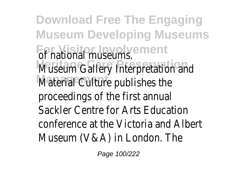**Download Free The Engaging Museum Developing Museums** of national museums. Museum Gallery Interpretation and Material Culture publishes the proceedings of the first annual Sackler Centre for Arts Education conference at the Victoria and Albert Museum (V&A) in London. The

Page 100/222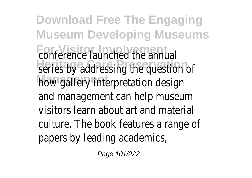**Download Free The Engaging Museum Developing Museums** conference launched the annual series by addressing the question of how gallery interpretation design and management can help museum visitors learn about art and material culture. The book features a range of papers by leading academics,

Page 101/222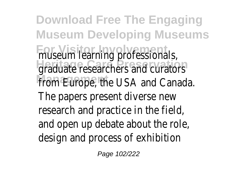**Download Free The Engaging Museum Developing Museums** museum learning professionals, graduate researchers and curators from Europe, the USA and Canada. The papers present diverse new research and practice in the field, and open up debate about the role, design and process of exhibition

Page 102/222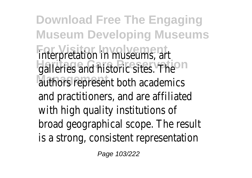**Download Free The Engaging Museum Developing Museums** interpretation in museums, art galleries and historic sites. The authors represent both academics and practitioners, and are affiliated with high quality institutions of broad geographical scope. The result is a strong, consistent representation

Page 103/222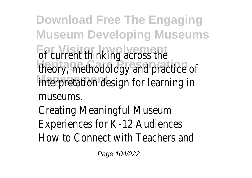**Download Free The Engaging Museum Developing Museums** of current thinking across the theory, methodology and practice of interpretation design for learning in museums.

Creating Meaningful Museum Experiences for K-12 Audiences How to Connect with Teachers and

Page 104/222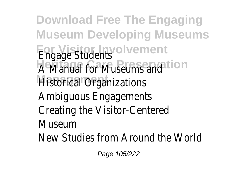**Download Free The Engaging Museum Developing Museums For Visitor Involvement** Engage Students A Manual for Museums and ion **Historical Organizations** Ambiguous Engagements Creating the Visitor-Centered Museum New Studies from Around the World

Page 105/222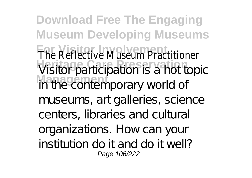**Download Free The Engaging Museum Developing Museums** The Reflective Museum Practitioner Visitor participation is a hot topic **Management** in the contemporary world of museums, art galleries, science centers, libraries and cultural organizations. How can your institution do it and do it well? Page 106/222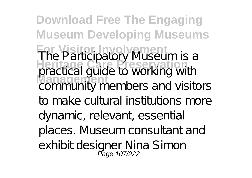**Download Free The Engaging Museum Developing Museums For Visitor Involvement Heritage Care Preservation Management** The Participatory Museum is a practical guide to working with community members and visitors to make cultural institutions more dynamic, relevant, essential places. Museum consultant and exhibit designer Nina Simon<br>Page 107/222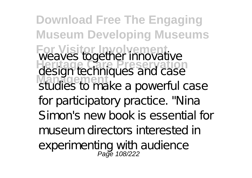**Download Free The Engaging Museum Developing Museums For Visitor Involvement Heritage Care Preservation Management** weaves together innovative design techniques and case studies to make a powerful case for participatory practice. "Nina Simon's new book is essential for museum directors interested in experimenting with audience<br>Page 108/222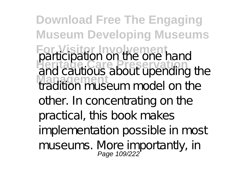**Download Free The Engaging Museum Developing Museums For Visitor Involvement Heritage Care Preservation Management** participation on the one hand and cautious about upending the tradition museum model on the other. In concentrating on the practical, this book makes implementation possible in most museums. More importantly, in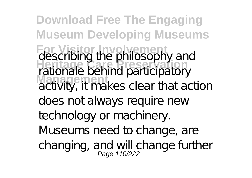**Download Free The Engaging Museum Developing Museums For Visitor Involvement Heritage Care Preservation Management** describing the philosophy and rationale behind participatory activity, it makes clear that action does not always require new technology or machinery. Museums need to change, are changing, and will change further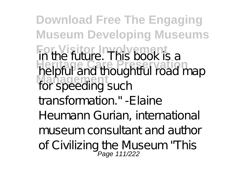**Download Free The Engaging Museum Developing Museums For Visitor Involvement Here Care Preservation Management** in the future. This book is a helpful and thoughtful road map for speeding such transformation." -Elaine Heumann Gurian, international museum consultant and author of Civilizing the Museum "This<br>Page 111/222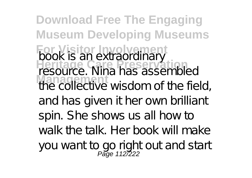**Download Free The Engaging Museum Developing Museums For Visitor Involvement Heritage Care Preservation Management** book is an extraordinary resource. Nina has assembled the collective wisdom of the field, and has given it her own brilliant spin. She shows us all how to walk the talk. Her book will make you want to go right out and start<br>Page 112/222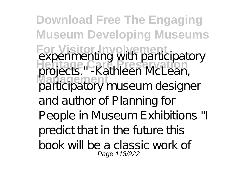**Download Free The Engaging Museum Developing Museums For Visitor Involvement Heritage Care Preservation Management** experimenting with participatory projects." -Kathleen McLean, participatory museum designer and author of Planning for People in Museum Exhibitions "I predict that in the future this book will be a classic work of Page 113/222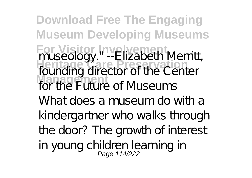**Download Free The Engaging Museum Developing Museums For Visitor Involvement Heritage Care Preservation Management** museology." --Elizabeth Merritt, founding director of the Center for the Future of Museums What does a museum do with a kindergartner who walks through the door? The growth of interest in young children learning in<br>Page 114/222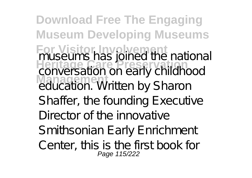**Download Free The Engaging Museum Developing Museums For Visitor Involvement Heritage Care Preservation Management** museums has joined the national conversation on early childhood education. Written by Sharon Shaffer, the founding Executive Director of the innovative Smithsonian Early Enrichment Center, this is the first book for Page 115/222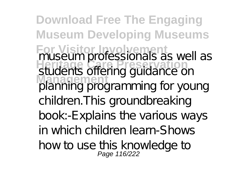**Download Free The Engaging Museum Developing Museums For Visitor Involvement Hideouil Pressionals as M Management** museum professionals as well as students offering guidance on planning programming for young children.This groundbreaking book:-Explains the various ways in which children learn-Shows how to use this knowledge to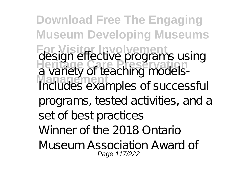**Download Free The Engaging Museum Developing Museums For Visitor Involvement Heritage Care Preservation Management** design effective programs using a variety of teaching models-Includes examples of successful programs, tested activities, and a set of best practices Winner of the 2018 Ontario Museum Association Award of Page 117/222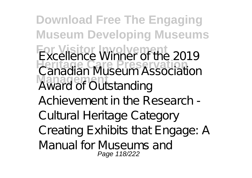**Download Free The Engaging Museum Developing Museums For Visitor Involvement Heritage Care Preservation Management** Excellence Winner of the 2019 Canadian Museum Association Award of Outstanding Achievement in the Research - Cultural Heritage Category Creating Exhibits that Engage: A Manual for Museums and Page 118/222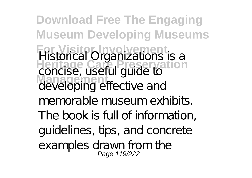**Download Free The Engaging Museum Developing Museums For Visitor Involvement Heritage Care Preservation Management** Historical Organizations is a concise, useful guide to developing effective and memorable museum exhibits. The book is full of information, guidelines, tips, and concrete examples drawn from the<br>Page 119/222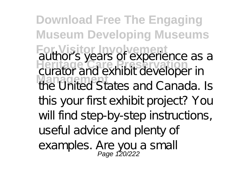**Download Free The Engaging Museum Developing Museums For Visitor Involvement Heritage Care Preservation Management** author's years of experience as a curator and exhibit developer in the United States and Canada. Is this your first exhibit project? You will find step-by-step instructions, useful advice and plenty of examples. Are you a small<br>Page 120/222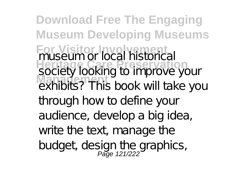**Download Free The Engaging Museum Developing Museums For Visitor Involvement Heritage Care Preservation Management** museum or local historical society looking to improve your exhibits? This book will take you through how to define your audience, develop a big idea, write the text, manage the budget, design the graphics,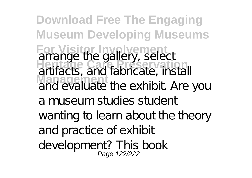**Download Free The Engaging Museum Developing Museums For Visitor Involvement Heritage Care Preservation Management** arrange the gallery, select artifacts, and fabricate, install and evaluate the exhibit. Are you a museum studies student wanting to learn about the theory and practice of exhibit development? This book<br>Page 122/222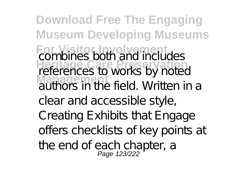**Download Free The Engaging Museum Developing Museums For Visitor Involvement Heritage Care Preservation Management** combines both and includes references to works by noted authors in the field. Written in a clear and accessible style, Creating Exhibits that Engage offers checklists of key points at the end of each chapter, a<br>Page 123/222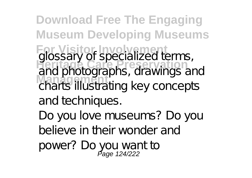**Download Free The Engaging Museum Developing Museums For Visitor Involvement Heritage Care Preservation Management** glossary of specialized terms, and photographs, drawings and charts illustrating key concepts and techniques. Do you love museums? Do you believe in their wonder and power? Do you want to Page 124/222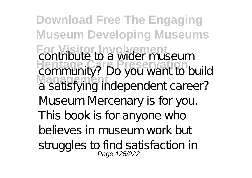**Download Free The Engaging Museum Developing Museums For Visitor Involvement Heritage Care Preservation Management** contribute to a wider museum community? Do you want to build a satisfying independent career? Museum Mercenary is for you. This book is for anyone who believes in museum work but struggles to find satisfaction in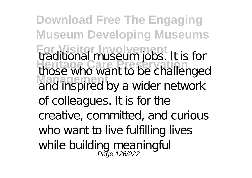**Download Free The Engaging Museum Developing Museums For Visitor Involvement Heritage Care Preservation Management** traditional museum jobs. It is for those who want to be challenged and inspired by a wider network of colleagues. It is for the creative, committed, and curious who want to live fulfilling lives while building meaningful<br>Page 126/222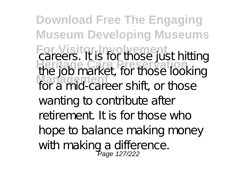**Download Free The Engaging Museum Developing Museums For Visitor Involvement Heritage Care Preservation Management** careers. It is for those just hitting the job market, for those looking for a mid-career shift, or those wanting to contribute after retirement. It is for those who hope to balance making money with making a difference.<br>Page 127/222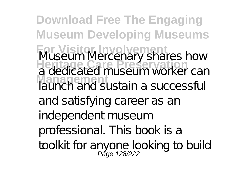**Download Free The Engaging Museum Developing Museums For Visitor Involvement Heritage Care Preservation Management** Museum Mercenary shares how a dedicated museum worker can launch and sustain a successful and satisfying career as an independent museum professional. This book is a toolkit for anyone looking to build Page 128/222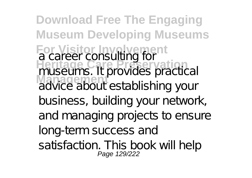**Download Free The Engaging Museum Developing Museums For Visitor Involvement Heritage Care Preservation Management** a career consulting for museums. It provides practical advice about establishing your business, building your network, and managing projects to ensure long-term success and satisfaction. This book will help<br>Page 129/222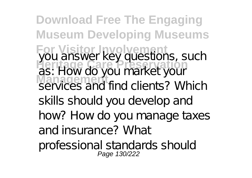**Download Free The Engaging Museum Developing Museums For Visitor Involvement Heritage Care Preservation Management** you answer key questions, such as: How do you market your services and find clients? Which skills should you develop and how? How do you manage taxes and insurance? What professional standards should Page 130/222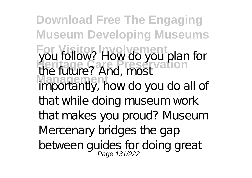**Download Free The Engaging Museum Developing Museums For Visitor Involvement Heritage Care Preservation Management** you follow? How do you plan for the future? And, most importantly, how do you do all of that while doing museum work that makes you proud? Museum Mercenary bridges the gap between guides for doing great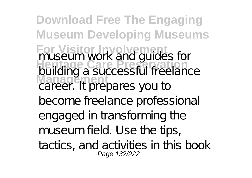**Download Free The Engaging Museum Developing Museums For Visitor Involvement Heritage Care Preservation Management** museum work and guides for building a successful freelance career. It prepares you to become freelance professional engaged in transforming the museum field. Use the tips, tactics, and activities in this book Page 132/222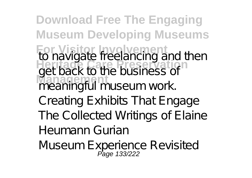**Download Free The Engaging Museum Developing Museums For Visitor Involvement Heritage Care Preservation Management** to navigate freelancing and then get back to the business of meaningful museum work. Creating Exhibits That Engage The Collected Writings of Elaine Heumann Gurian Museum Experience Revisited<br>Page 133/222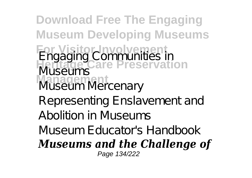**Download Free The Engaging Museum Developing Museums For Visitor Involvement Heritage Care Preservation Management** Engaging Communities in Museums Museum Mercenary Representing Enslavement and Abolition in Museums Museum Educator's Handbook *Museums and the Challenge of* Page 134/222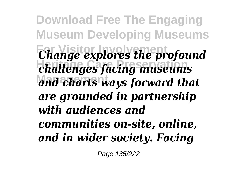**Download Free The Engaging Museum Developing Museums** *Change explores the profound* **Heritage Care Preservation** *challenges facing museums* **Management** *and charts ways forward that are grounded in partnership with audiences and communities on-site, online, and in wider society. Facing*

Page 135/222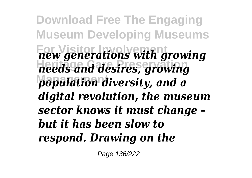**Download Free The Engaging Museum Developing Museums For Visitor Involvement** *new generations with growing* **Heritage Care Preservation** *needs and desires, growing* **Management** *population diversity, and a digital revolution, the museum sector knows it must change – but it has been slow to respond. Drawing on the*

Page 136/222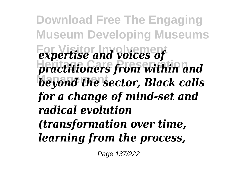**Download Free The Engaging Museum Developing Museums** *<u>Expertise</u>* and voices of **Heritage Care Preservation** *practitioners from within and* **Management** *beyond the sector, Black calls for a change of mind-set and radical evolution (transformation over time, learning from the process,*

Page 137/222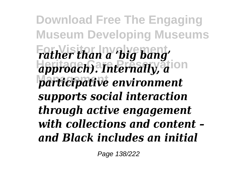**Download Free The Engaging Museum Developing Museums** *Father than a 'big bang'* approach). Internally, a<sup>ion</sup> **Management** *participative environment supports social interaction through active engagement with collections and content – and Black includes an initial*

Page 138/222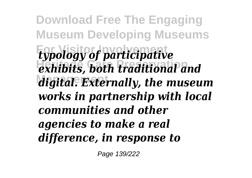**Download Free The Engaging Museum Developing Museums For Visitor Involvement** *typology of participative* **Heritage Care Preservation** *exhibits, both traditional and* **Management** *digital. Externally, the museum works in partnership with local communities and other agencies to make a real difference, in response to*

Page 139/222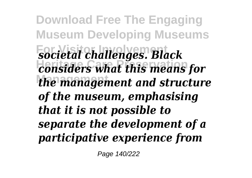**Download Free The Engaging Museum Developing Museums For Visitor Involvement** *societal challenges. Black* **Heritage Care Preservation** *considers what this means for* **Management** *the management and structure of the museum, emphasising that it is not possible to separate the development of a participative experience from*

Page 140/222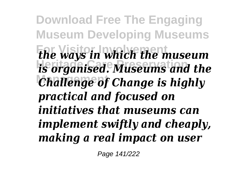**Download Free The Engaging Museum Developing Museums For Visitor Involvement** *the ways in which the museum* **Heritage Care Preservation** *is organised. Museums and the Challenge of Change is highly practical and focused on initiatives that museums can implement swiftly and cheaply, making a real impact on user*

Page 141/222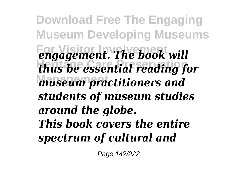**Download Free The Engaging Museum Developing Museums** *<u>Eorgagement</u>. The book will* **Heritage Care Preservation** *thus be essential reading for* **Management** *museum practitioners and students of museum studies around the globe. This book covers the entire spectrum of cultural and*

Page 142/222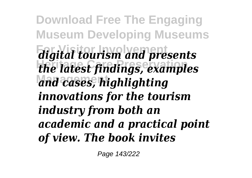**Download Free The Engaging Museum Developing Museums For Visitor Involvement** *digital tourism and presents* **Heritage Care Preservation** *the latest findings, examples* **Management** *and cases, highlighting innovations for the tourism industry from both an academic and a practical point of view. The book invites*

Page 143/222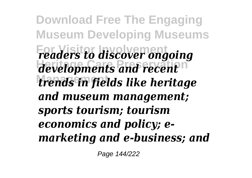**Download Free The Engaging Museum Developing Museums For Visitor Involvement** *readers to discover ongoing* developments and recent<sup>n</sup> **Management** *trends in fields like heritage and museum management; sports tourism; tourism economics and policy; emarketing and e-business; and*

Page 144/222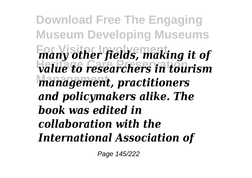**Download Free The Engaging Museum Developing Museums For Visitor Involvement** *many other fields, making it of* **Heritage Care Preservation** *value to researchers in tourism* **Management** *management, practitioners and policymakers alike. The book was edited in collaboration with the International Association of*

Page 145/222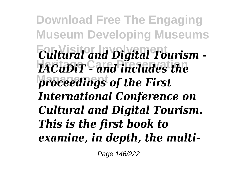**Download Free The Engaging Museum Developing Museums For Visitor Involvement** *Cultural and Digital Tourism -* **Heritage Care Preservation** *IACuDiT - and includes the* **proceedings of the First** *International Conference on Cultural and Digital Tourism. This is the first book to examine, in depth, the multi-*

Page 146/222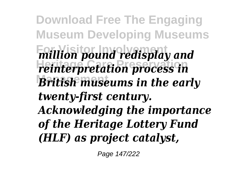**Download Free The Engaging Museum Developing Museums For Visitor Involvement Heritage Care Preservation British museums in the early** *million pound redisplay and reinterpretation process in twenty-first century. Acknowledging the importance of the Heritage Lottery Fund (HLF) as project catalyst,*

Page 147/222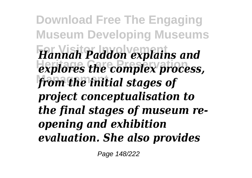**Download Free The Engaging Museum Developing Museums For Visitor Involvement** *Hannah Paddon explains and*  $ext{explores}$  the complex process, from the initial stages of *project conceptualisation to the final stages of museum reopening and exhibition evaluation. She also provides*

Page 148/222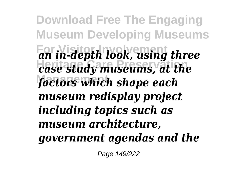**Download Free The Engaging Museum Developing Museums For Visitor Involvement** *an in-depth look, using three* **Heritage Care Preservation** *case study museums, at the* **Management** *factors which shape each museum redisplay project including topics such as museum architecture, government agendas and the*

Page 149/222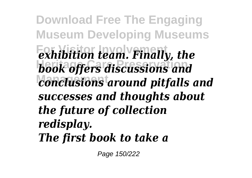**Download Free The Engaging Museum Developing Museums For Visitor Involvement** *exhibition team. Finally, the* **Heritage Care Preservation** *book offers discussions and* **Management** *conclusions around pitfalls and successes and thoughts about the future of collection redisplay. The first book to take a*

Page 150/222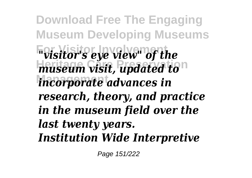**Download Free The Engaging Museum Developing Museums For Visitor Involvement Heritage Care Preservation** *incorporate advances in "visitor's eye view" of the museum visit, updated to research, theory, and practice in the museum field over the last twenty years. Institution Wide Interpretive*

Page 151/222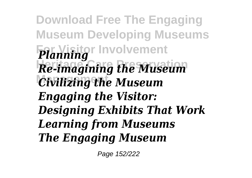**Download Free The Engaging Museum Developing Museums For Visitor Involvement** *Planning* **Heritage Care Preservation** *Re-imagining the Museum Civilizing the Museum Engaging the Visitor: Designing Exhibits That Work Learning from Museums The Engaging Museum*

Page 152/222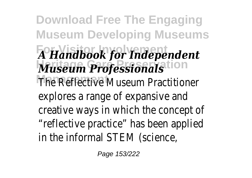**Download Free The Engaging Museum Developing Museums For Visitor Involvement** *A Handbook for Independent* **Heritage Care Preservation** *Museum Professionals* The Reflective Museum Practitioner explores a range of expansive and creative ways in which the concept of "reflective practice" has been applied in the informal STEM (science,

Page 153/222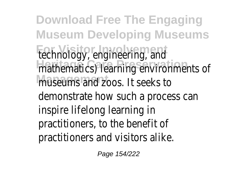**Download Free The Engaging Museum Developing Museums** technology, engineering, and mathematics) learning environments of museums and zoos. It seeks to demonstrate how such a process can inspire lifelong learning in practitioners, to the benefit of practitioners and visitors alike.

Page 154/222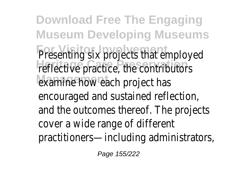**Download Free The Engaging Museum Developing Museums Presenting six projects that employed** reflective practice, the contributors examine how each project has encouraged and sustained reflection, and the outcomes thereof. The project cover a wide range of different practitioners—including administrators,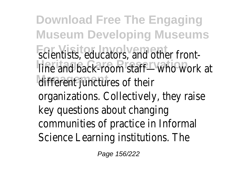**Download Free The Engaging Museum Developing Museums** scientists, educators, and other frontline and back-room staff<sup>on</sup>who work at different junctures of their organizations. Collectively, they raise key questions about changing communities of practice in Informal Science Learning institutions. The

Page 156/222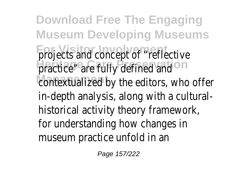**Download Free The Engaging Museum Developing Museums** projects and concept of "reflective practice" are fully defined and contextualized by the editors, who offer in-depth analysis, along with a cultural historical activity theory framework, for understanding how changes in museum practice unfold in an

Page 157/222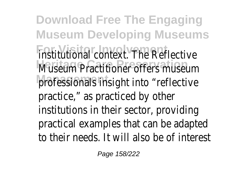**Download Free The Engaging Museum Developing Museums For Visitor Involvement** institutional context. The Reflective Museum Practitioner offers museum professionals insight into "reflective practice," as practiced by other institutions in their sector, providing practical examples that can be adapted to their needs. It will also be of intere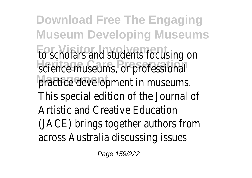**Download Free The Engaging Museum Developing Museums For Visitor Involvement** to scholars and students focusing on science museums, or professional practice development in museums This special edition of the Journal of Artistic and Creative Education (JACE) brings together authors from across Australia discussing issues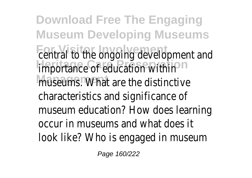**Download Free The Engaging Museum Developing Museums** central to the ongoing development an importance of education within museums.<sup>e</sup>What are the distinctive characteristics and significance of museum education? How does learning occur in museums and what does it look like? Who is engaged in museum

Page 160/222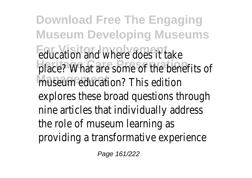**Download Free The Engaging Museum Developing Museums Foucation and where does it take** place? What are some of the benefits museum education? This edition explores these broad questions through nine articles that individually address the role of museum learning as providing a transformative experience

Page 161/222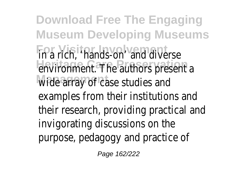**Download Free The Engaging Museum Developing Museums For Visitor Involvement** in a rich, 'hands-on' and diverse environment. The authors present a wide array of case studies and examples from their institutions and their research, providing practical and invigorating discussions on the purpose, pedagogy and practice of

Page 162/222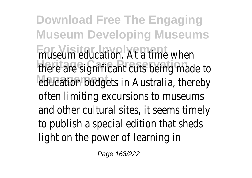**Download Free The Engaging Museum Developing Museums** museum education. At a time when there are significant cuts being made education budgets in Australia, thereby often limiting excursions to museums and other cultural sites, it seems time to publish a special edition that sheds light on the power of learning in

Page 163/222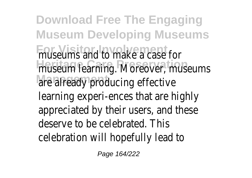**Download Free The Engaging Museum Developing Museums For Visitor Involvement** museums and to make a case for museum learning. Moreover, museums are already producing effective learning experi-ences that are highly appreciated by their users, and these deserve to be celebrated. This celebration will hopefully lead to

Page 164/222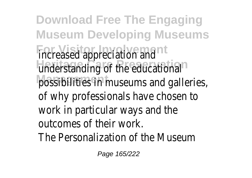**Download Free The Engaging Museum Developing Museums Formalists Formal** understanding of the educational possibilities in museums and galleries of why professionals have chosen to work in particular ways and the outcomes of their work. The Personalization of the Museum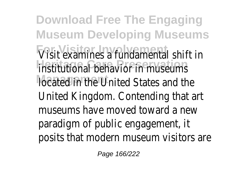**Download Free The Engaging Museum Developing Museums** Visit examines a fundamental shift in institutional behavior in museums located in the United States and the United Kingdom. Contending that art museums have moved toward a new paradigm of public engagement, it posits that modern museum visitors a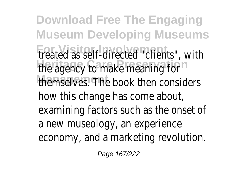**Download Free The Engaging Museum Developing Museums** treated as self-directed "clients", with the agency to make meaning for themselves. The book then considers how this change has come about examining factors such as the onset of a new museology, an experience economy, and a marketing revolution.

Page 167/222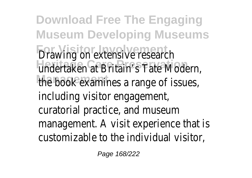**Download Free The Engaging Museum Developing Museums** Drawing on extensive research undertaken at Britain's Tate Modern the book examines a range of issues including visitor engagement, curatorial practice, and museum management. A visit experience that is customizable to the individual visitor,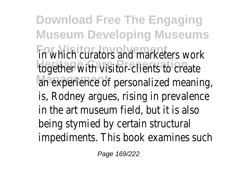**Download Free The Engaging Museum Developing Museums** in which curators and marketers work together with visitor-clients to create an experience of personalized meaning is, Rodney argues, rising in prevalence in the art museum field, but it is also being stymied by certain structural impediments. This book examines such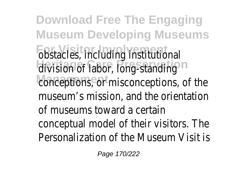**Download Free The Engaging Museum Developing Museums** obstacles, including institutional division of labor, long-standing conceptions, or misconceptions, of the museum's mission, and the orientation of museums toward a certain conceptual model of their visitors. The Personalization of the Museum Visit is

Page 170/222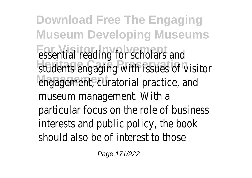**Download Free The Engaging Museum Developing Museums Essential reading for scholars and** students engaging with issues of visitor engagement, curatorial practice, and museum management. With a particular focus on the role of busines interests and public policy, the book should also be of interest to those

Page 171/222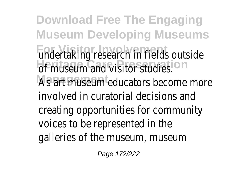**Download Free The Engaging Museum Developing Museums** undertaking research in fields outside of museum and visitor studies. As art museum educators become mor involved in curatorial decisions and creating opportunities for community voices to be represented in the galleries of the museum, museum

Page 172/222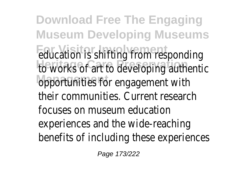**Download Free The Engaging Museum Developing Museums Foucation is shifting from responding** to works of art to developing authenti opportunities for engagement with their communities. Current research focuses on museum education experiences and the wide-reaching benefits of including these experiences

Page 173/222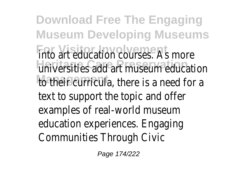**Download Free The Engaging Museum Developing Museums** into art education courses. As more universities add art museum education to their curricula, there is a need for a text to support the topic and offer examples of real-world museum education experiences. Engaging Communities Through Civic

Page 174/222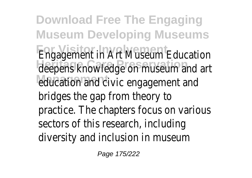**Download Free The Engaging Museum Developing Museums** Engagement in Art Museum Education deepens knowledge on museum and ar education and civic engagement and bridges the gap from theory to practice. The chapters focus on variou sectors of this research, including diversity and inclusion in museum

Page 175/222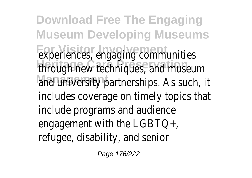**Download Free The Engaging Museum Developing Museums** experiences, engaging communities through new techniques, and museum and university partnerships. As such, it includes coverage on timely topics tha include programs and audience engagement with the LGBTQ+, refugee, disability, and senior

Page 176/222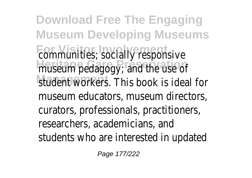**Download Free The Engaging Museum Developing Museums** communities; socially responsive museum pedagogy; and the use of student workers. This book is ideal for museum educators, museum directors, curators, professionals, practitioners, researchers, academicians, and students who are interested in update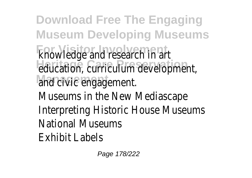**Download Free The Engaging Museum Developing Museums For Visitor Involvement** knowledge and research in art education, curriculum development and civic<sup>1</sup>engagement. Museums in the New Mediascape Interpreting Historic House Museums National Museums Exhibit Labels

Page 178/222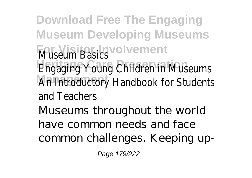**Download Free The Engaging Museum Developing Museums Museum Basics** vement **Engaging Young Children in Museums An Introductory Handbook for Student** and Teachers Museums throughout the world have common needs and face common challenges. Keeping up-

Page 179/222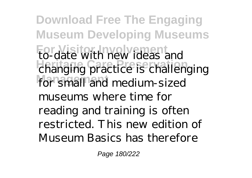**Download Free The Engaging Museum Developing Museums For Visitor Involvement** to-date with new ideas and **Heritage Care Preservation** changing practice is challenging for small and medium-sized museums where time for reading and training is often restricted. This new edition of Museum Basics has therefore

Page 180/222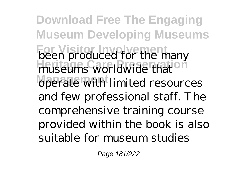**Download Free The Engaging Museum Developing Museums Formulated** for the many museums worldwide that **Management** operate with limited resources and few professional staff. The comprehensive training course provided within the book is also suitable for museum studies

Page 181/222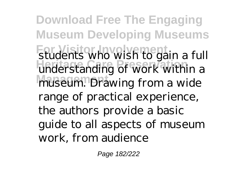**Download Free The Engaging Museum Developing Museums** students who wish to gain a full understanding of work within a museum. Drawing from a wide range of practical experience, the authors provide a basic guide to all aspects of museum work, from audience

Page 182/222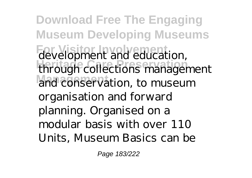**Download Free The Engaging Museum Developing Museums** development and education, **Heritage Care Preservation** through collections management and conservation, to museum organisation and forward planning. Organised on a modular basis with over 110 Units, Museum Basics can be

Page 183/222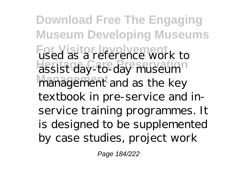**Download Free The Engaging Museum Developing Museums For Visitor Involvement** used as a reference work to **Heritage Care Preservation** assist day-to-day museum **Management** management and as the key textbook in pre-service and inservice training programmes. It is designed to be supplemented by case studies, project work

Page 184/222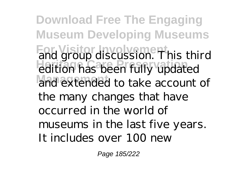**Download Free The Engaging Museum Developing Museums** and group discussion. This third **Heritage Care Preservation** edition has been fully updated and extended to take account of the many changes that have occurred in the world of museums in the last five years. It includes over 100 new

Page 185/222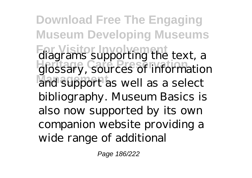**Download Free The Engaging Museum Developing Museums** diagrams supporting the text, a **Heritage Care Preservation** glossary, sources of information and support as well as a select bibliography. Museum Basics is also now supported by its own companion website providing a wide range of additional

Page 186/222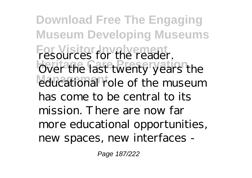**Download Free The Engaging Museum Developing Museums** For Visitor for the reader. Over the last twenty years the educational role of the museum has come to be central to its mission. There are now far more educational opportunities, new spaces, new interfaces -

Page 187/222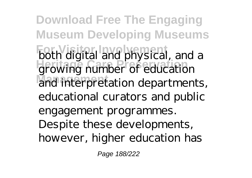**Download Free The Engaging Museum Developing Museums** both digital and physical, and a **Heritage Care Preservation** growing number of education and interpretation departments, educational curators and public engagement programmes. Despite these developments, however, higher education has

Page 188/222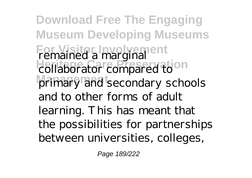**Download Free The Engaging Museum Developing Museums For Visitor Involvement Heritage Care Preservation** primary and secondary schools remained a marginal collaborator compared to and to other forms of adult learning. This has meant that the possibilities for partnerships between universities, colleges,

Page 189/222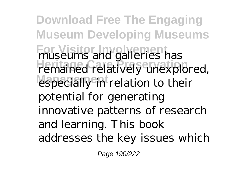**Download Free The Engaging Museum Developing Museums For Visitor Involvement** museums and galleries has remained relatively unexplored, especially in relation to their potential for generating innovative patterns of research and learning. This book addresses the key issues which

Page 190/222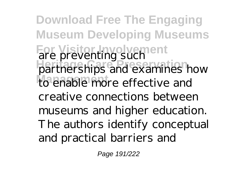**Download Free The Engaging Museum Developing Museums For Visitor Involvement** are preventing such **Heritage Care Preservation** partnerships and examines how to enable more effective and creative connections between museums and higher education. The authors identify conceptual and practical barriers and

Page 191/222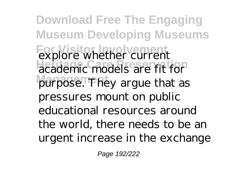**Download Free The Engaging Museum Developing Museums For Visitor Involvement** explore whether current **Heritage Care Preservation** academic models are fit for purpose. They argue that as pressures mount on public educational resources around the world, there needs to be an urgent increase in the exchange

Page 192/222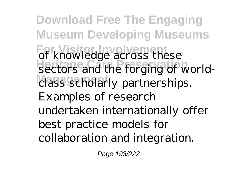**Download Free The Engaging Museum Developing Museums For Visitor Involvement** of knowledge across these sectors and the forging of world-**Management** class scholarly partnerships. Examples of research undertaken internationally offer best practice models for collaboration and integration.

Page 193/222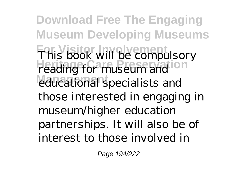**Download Free The Engaging Museum Developing Museums For Visitor Involvement Heritage Care Preservation** educational specialists and This book will be compulsory reading for museum and those interested in engaging in museum/higher education partnerships. It will also be of interest to those involved in

Page 194/222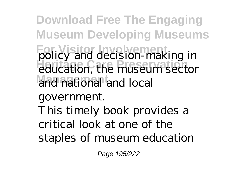**Download Free The Engaging Museum Developing Museums** policy and decision-making in **Heritage Care Preservation** education, the museum sector and national and local

government.

This timely book provides a critical look at one of the staples of museum education

Page 195/222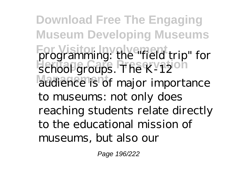**Download Free The Engaging Museum Developing Museums** programming: the "field trip" for school groups. The K-12<sup>oh</sup> audience is of major importance to museums: not only does reaching students relate directly to the educational mission of museums, but also our

Page 196/222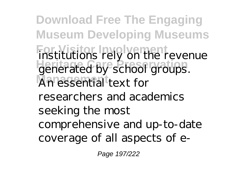**Download Free The Engaging Museum Developing Museums** institutions rely on the revenue **Heritage Care Preservation** generated by school groups. **Management** An essential text for researchers and academics seeking the most comprehensive and up-to-date coverage of all aspects of e-

Page 197/222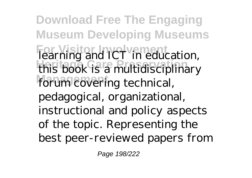**Download Free The Engaging Museum Developing Museums For Visitor Involvement** learning and ICT in education, **Heritage Care Preservation** this book is a multidisciplinary forum covering technical, pedagogical, organizational, instructional and policy aspects of the topic. Representing the best peer-reviewed papers from

Page 198/222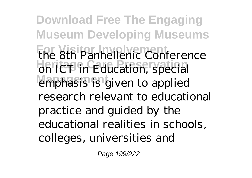**Download Free The Engaging Museum Developing Museums** the 8th Panhellenic Conference on ICT in Education, special emphasis is given to applied research relevant to educational practice and guided by the educational realities in schools, colleges, universities and

Page 199/222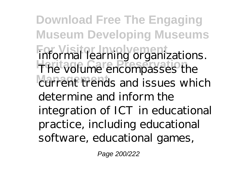**Download Free The Engaging Museum Developing Museums For Visitor Involvement** informal learning organizations. **Heritage Care Preservation** The volume encompasses the current trends and issues which determine and inform the integration of ICT in educational practice, including educational software, educational games,

Page 200/222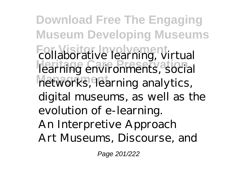**Download Free The Engaging Museum Developing Museums For Visitor Involvement Heritage Care Preservation Management** networks, learning analytics, collaborative learning, virtual learning environments, social digital museums, as well as the evolution of e-learning. An Interpretive Approach Art Museums, Discourse, and

Page 201/222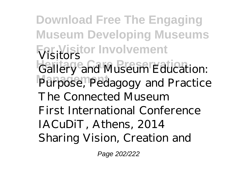**Download Free The Engaging Museum Developing Museums For Visitor Involvement** Visitors Gallery and Museum Education: Purpose, Pedagogy and Practice The Connected Museum First International Conference IACuDiT, Athens, 2014 Sharing Vision, Creation and

Page 202/222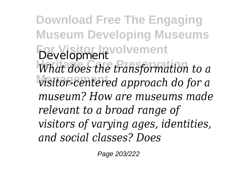**Download Free The Engaging Museum Developing Museums For Visitor Involvement** Development **Heritage Care Preservation** *What does the transformation to a* **Management** *visitor-centered approach do for a museum? How are museums made relevant to a broad range of visitors of varying ages, identities, and social classes? Does*

Page 203/222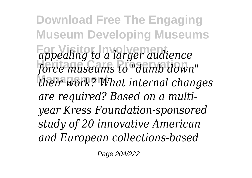**Download Free The Engaging Museum Developing Museums For Visitor Involvement** *appealing to a larger audience* force museums to "dumb down" **Management** *their work? What internal changes are required? Based on a multiyear Kress Foundation-sponsored study of 20 innovative American and European collections-based*

Page 204/222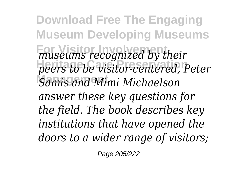**Download Free The Engaging Museum Developing Museums For Visitor Involvement** *museums recognized by their* **Heritage Care Preservation** *peers to be visitor-centered, Peter* **Samis and Mimi Michaelson** *answer these key questions for the field. The book describes key institutions that have opened the doors to a wider range of visitors;*

Page 205/222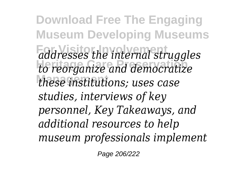**Download Free The Engaging Museum Developing Museums For Visitor Involvement** *addresses the internal struggles* **Heritage Care Preservation** *to reorganize and democratize* **Management** *these institutions; uses case studies, interviews of key personnel, Key Takeaways, and additional resources to help museum professionals implement*

Page 206/222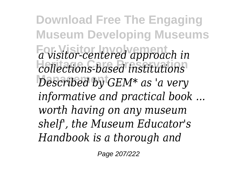**Download Free The Engaging Museum Developing Museums**  $\overline{a}$  visitor-centered approach in **Heritage Care Preservation** *collections-based institutions* Described by GEM<sup>\*</sup> as 'a very *informative and practical book ... worth having on any museum shelf', the Museum Educator's Handbook is a thorough and*

Page 207/222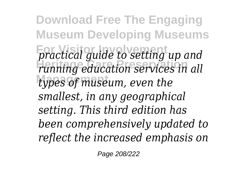**Download Free The Engaging Museum Developing Museums For Visitor Involvement** *practical guide to setting up and* **Heritage Care Preservation** *running education services in all* types of museum, even the *smallest, in any geographical setting. This third edition has been comprehensively updated to reflect the increased emphasis on*

Page 208/222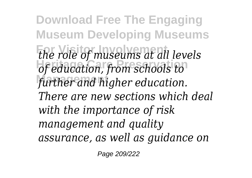**Download Free The Engaging Museum Developing Museums For Visitor Involvement** *the role of museums at all levels* **Heritage Care Preservation** *of education, from schools to* further and higher education. *There are new sections which deal with the importance of risk management and quality assurance, as well as guidance on*

Page 209/222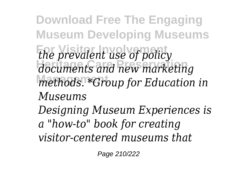**Download Free The Engaging Museum Developing Museums** *<i>the prevalent use of policy* **Heritage Care Preservation** *documents and new marketing* **Management** *methods. \*Group for Education in Museums Designing Museum Experiences is a "how-to" book for creating visitor-centered museums that*

Page 210/222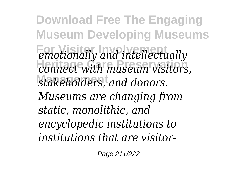**Download Free The Engaging Museum Developing Museums For Visitor Involvement Connect** with museum visitors stakeholders, and donors. *emotionally and intellectually connect with museum visitors, Museums are changing from static, monolithic, and encyclopedic institutions to institutions that are visitor-*

Page 211/222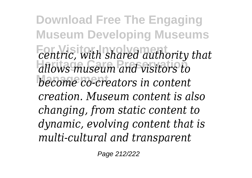**Download Free The Engaging Museum Developing Museums For Visitor Involvement** *centric, with shared authority that* **Heritage Care Preservation** *allows museum and visitors to* **Management** *become co-creators in content creation. Museum content is also changing, from static content to dynamic, evolving content that is multi-cultural and transparent*

Page 212/222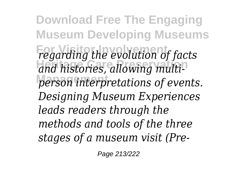**Download Free The Engaging Museum Developing Museums For Visitor Involvement** *regarding the evolution of facts* and histories, allowing multiperson interpretations of events. *Designing Museum Experiences leads readers through the methods and tools of the three stages of a museum visit (Pre-*

Page 213/222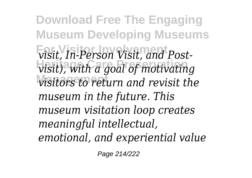**Download Free The Engaging Museum Developing Museums**  $v$ *isit, In-Person Visit, and Post* $v$ *isit), with a goal of motivating* **Management** *visitors to return and revisit the museum in the future. This museum visitation loop creates meaningful intellectual, emotional, and experiential value*

Page 214/222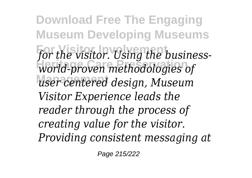**Download Free The Engaging Museum Developing Museums** for the visitor. Using the business-**Heritage Care Preservation** *world-proven methodologies of* **Management** *user centered design, Museum Visitor Experience leads the reader through the process of creating value for the visitor. Providing consistent messaging at*

Page 215/222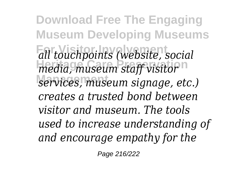**Download Free The Engaging Museum Developing Museums For Visitor Involvement** *all touchpoints (website, social media, museum staff visitor*<sup>1</sup> **Management** *services, museum signage, etc.) creates a trusted bond between visitor and museum. The tools used to increase understanding of and encourage empathy for the*

Page 216/222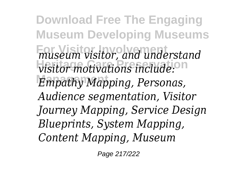**Download Free The Engaging Museum Developing Museums For Visitor Involvement** *museum visitor, and understand*  $v$ *isitor motivations include:*<sup>01</sup> *Empathy Mapping, Personas, Audience segmentation, Visitor Journey Mapping, Service Design Blueprints, System Mapping, Content Mapping, Museum*

Page 217/222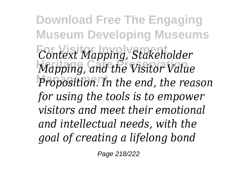**Download Free The Engaging Museum Developing Museums For Visitor Involvement** *Context Mapping, Stakeholder* **Heritage Care Preservation** *Mapping, and the Visitor Value* **Management** *Proposition. In the end, the reason for using the tools is to empower visitors and meet their emotional and intellectual needs, with the goal of creating a lifelong bond*

Page 218/222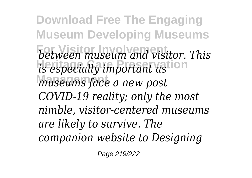**Download Free The Engaging Museum Developing Museums For Visitor Involvement** *between museum and visitor. This is especially important astion* **Management** *museums face a new post COVID-19 reality; only the most nimble, visitor-centered museums are likely to survive. The companion website to Designing*

Page 219/222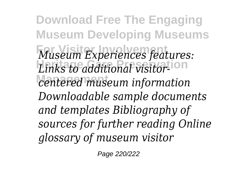**Download Free The Engaging Museum Developing Museums For Visitor Involvement** *Museum Experiences features:* Links to additional visitor-<sup>1011</sup> **Management** *centered museum information Downloadable sample documents and templates Bibliography of sources for further reading Online glossary of museum visitor*

Page 220/222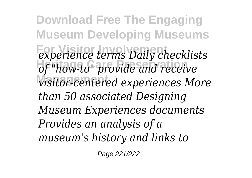**Download Free The Engaging Museum Developing Museums For Visitor Involvement** *experience terms Daily checklists* **Heritage Care Preservation** *of "how-to" provide and receive* **Management** *visitor-centered experiences More than 50 associated Designing Museum Experiences documents Provides an analysis of a museum's history and links to*

Page 221/222